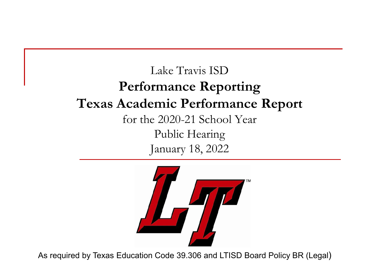#### Lake Travis ISD **Performance Reporting Texas Academic Performance Report** for the 2020-21 School Year Public Hearing January 18, 2022



As required by Texas Education Code 39.306 and LTISD Board Policy BR (Legal)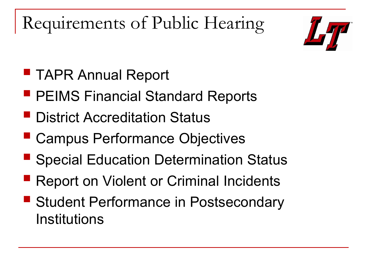Requirements of Public Hearing



- **TAPR Annual Report**
- **PEIMS Financial Standard Reports**
- **P** District Accreditation Status
- Campus Performance Objectives
- Special Education Determination Status
- Report on Violent or Criminal Incidents
- Student Performance in Postsecondary Institutions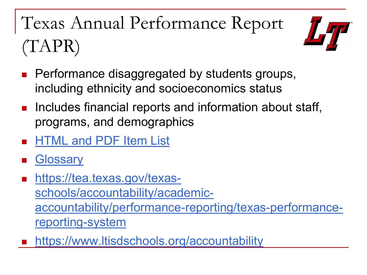## Texas Annual Performance Report (TAPR)



- Performance disaggregated by students groups, including ethnicity and socioeconomics status
- **Includes financial reports and information about staff,** programs, and demographics
- [HTML and PDF Item List](https://tea.texas.gov/sites/default/files/2020%20Changes%20Item%20List.pdf)
- **[Glossary](https://rptsvr1.tea.texas.gov/perfreport/tapr/2021/glossary.pdf)**
- https://tea.texas.gov/texasschools/accountability/academic[accountability/performance-reporting/texas-performance](https://tea.texas.gov/texas-schools/accountability/academic-accountability/performance-reporting/texas-performance-reporting-system)reporting-system
- <https://www.ltisdschools.org/accountability>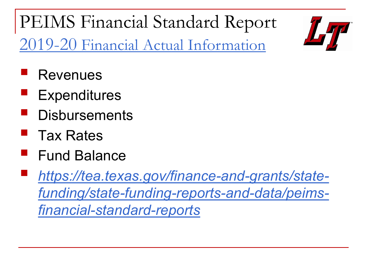PEIMS Financial Standard Report [2019-20 Financial Actual Information](https://rptsvr1.tea.texas.gov/cgi/sas/broker?_service=marykay&_program=sfadhoc.actual_report_2020.sas&_service=appserv&_debug=0&who_box=227913)



- Revenues
- Expenditures
- **Disbursements**
- Tax Rates
- Fund Balance
- *[https://tea.texas.gov/finance-and-grants/state](https://tea.texas.gov/finance-and-grants/state-funding/state-funding-reports-and-data/peims-financial-standard-reports)funding/state-funding-reports-and-data/peimsfinancial-standard-reports*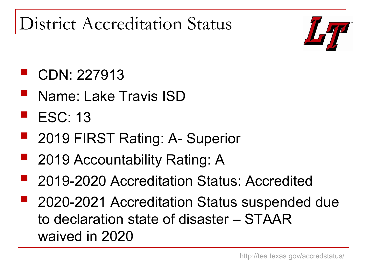District Accreditation Status



### CDN: 227913

- Name: Lake Travis ISD
- $\blacksquare$  ESC: 13
- 2019 FIRST Rating: A- Superior
- 2019 Accountability Rating: A
- 2019-2020 Accreditation Status: Accredited
- **2020-2021 Accreditation Status suspended due** to declaration state of disaster – STAAR waived in 2020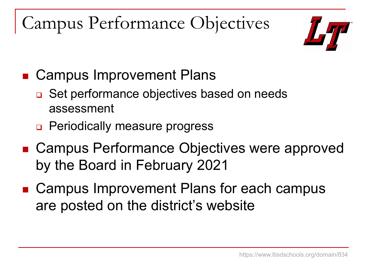Campus Performance Objectives



- Campus Improvement Plans
	- □ Set performance objectives based on needs assessment
	- Periodically measure progress
- Campus Performance Objectives were approved by the Board in February 2021
- Campus Improvement Plans for each campus are posted on the district's website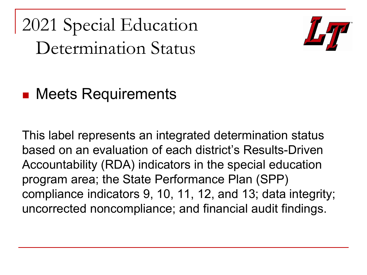2021 Special Education Determination Status



### ■ Meets Requirements

This label represents an integrated determination status based on an evaluation of each district's Results-Driven Accountability (RDA) indicators in the special education program area; the State Performance Plan (SPP) compliance indicators 9, 10, 11, 12, and 13; data integrity; uncorrected noncompliance; and financial audit findings.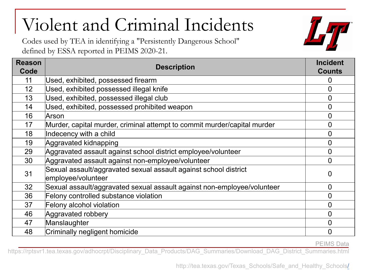## Violent and Criminal Incidents

Codes used by TEA in identifying a "Persistently Dangerous School" defined by ESSA reported in PEIMS 2020-21.



PEIMS Data

https://rptsvr1.tea.texas.gov/adhocrpt/Disciplinary\_Data\_Products/DAG\_Summaries/Download\_DAG\_District\_Summaries.html

http:[/](http://tea.texas.gov/Texas_Schools/Safe_and_Healthy_Schools/)/tea.texas.gov/Texas\_Schools/Safe\_and\_Healthy\_Schools/

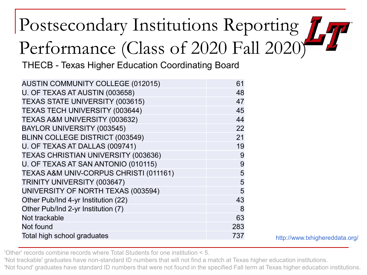# Postsecondary Institutions Reporting Performance (Class of 2020 Fall 2020)

THECB - Texas Higher Education Coordinating Board

| <b>AUSTIN COMMUNITY COLLEGE (012015)</b>   | 61  |
|--------------------------------------------|-----|
| U. OF TEXAS AT AUSTIN (003658)             | 48  |
| TEXAS STATE UNIVERSITY (003615)            | 47  |
| TEXAS TECH UNIVERSITY (003644)             | 45  |
| TEXAS A&M UNIVERSITY (003632)              | 44  |
| BAYLOR UNIVERSITY (003545)                 | 22  |
| BLINN COLLEGE DISTRICT (003549)            | 21  |
| U. OF TEXAS AT DALLAS (009741)             | 19  |
| <b>TEXAS CHRISTIAN UNIVERSITY (003636)</b> | 9   |
| U. OF TEXAS AT SAN ANTONIO (010115)        | 9   |
| TEXAS A&M UNIV-CORPUS CHRISTI (011161)     | 5   |
| TRINITY UNIVERSITY (003647)                | 5   |
| UNIVERSITY OF NORTH TEXAS (003594)         | 5   |
| Other Pub/Ind 4-yr Institution (22)        | 43  |
| Other Pub/Ind 2-yr Institution (7)         | 8   |
| Not trackable                              | 63  |
| Not found                                  | 283 |
| Total high school graduates                | 737 |

'Other' records combine records where Total Students for one institution < 5.

'Not trackable' graduates have non-standard ID numbers that will not find a match at Texas higher education institutions.

'Not found' graduates have standard ID numbers that were not found in the specified Fall term at Texas higher education institutions.

http://www.txhighereddata.org/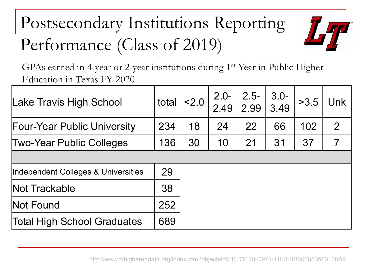## Postsecondary Institutions Reporting Performance (Class of 2019)



GPAs earned in 4-year or 2-year institutions during 1<sup>st</sup> Year in Public Higher Education in Texas FY 2020

| Lake Travis High School             | total | $ <$ 2.0 | $2.0 -$<br>2.49 | $2.5 -$<br>$\vert$ 2.99 $\vert$ | $3.0 -$<br>3.49 | >3.5 | Unk            |
|-------------------------------------|-------|----------|-----------------|---------------------------------|-----------------|------|----------------|
| <b>Four-Year Public University</b>  | 234   | 18       | 24              | 22                              | 66              | 102  | $\overline{2}$ |
| <b>Two-Year Public Colleges</b>     | 136   | 30       | 10              | 21                              | 31              | 37   | 7              |
|                                     |       |          |                 |                                 |                 |      |                |
| Independent Colleges & Universities | 29    |          |                 |                                 |                 |      |                |
| Not Trackable                       | 38    |          |                 |                                 |                 |      |                |
| Not Found                           | 252   |          |                 |                                 |                 |      |                |
| Total High School Graduates         | 689   |          |                 |                                 |                 |      |                |